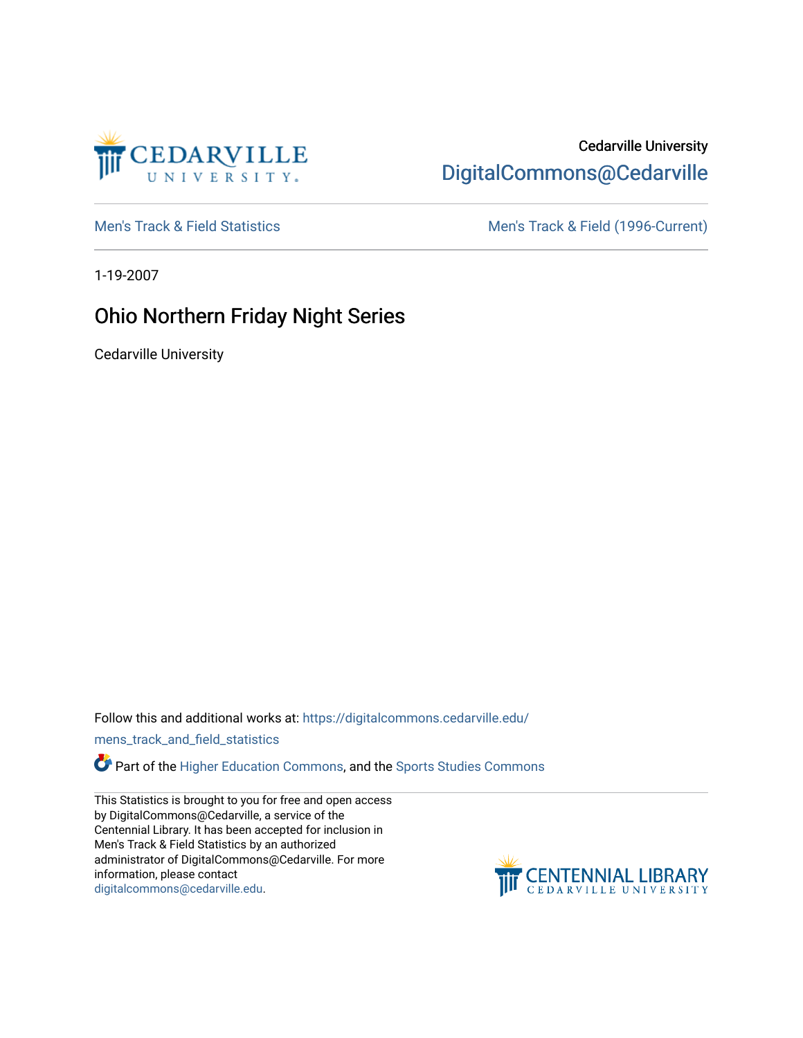

## Cedarville University [DigitalCommons@Cedarville](https://digitalcommons.cedarville.edu/)

[Men's Track & Field Statistics](https://digitalcommons.cedarville.edu/mens_track_and_field_statistics) [Men's Track & Field \(1996-Current\)](https://digitalcommons.cedarville.edu/mens_track_and_field) 

1-19-2007

## Ohio Northern Friday Night Series

Cedarville University

Follow this and additional works at: [https://digitalcommons.cedarville.edu/](https://digitalcommons.cedarville.edu/mens_track_and_field_statistics?utm_source=digitalcommons.cedarville.edu%2Fmens_track_and_field_statistics%2F165&utm_medium=PDF&utm_campaign=PDFCoverPages)

[mens\\_track\\_and\\_field\\_statistics](https://digitalcommons.cedarville.edu/mens_track_and_field_statistics?utm_source=digitalcommons.cedarville.edu%2Fmens_track_and_field_statistics%2F165&utm_medium=PDF&utm_campaign=PDFCoverPages)

Part of the [Higher Education Commons,](http://network.bepress.com/hgg/discipline/1245?utm_source=digitalcommons.cedarville.edu%2Fmens_track_and_field_statistics%2F165&utm_medium=PDF&utm_campaign=PDFCoverPages) and the Sports Studies Commons

This Statistics is brought to you for free and open access by DigitalCommons@Cedarville, a service of the Centennial Library. It has been accepted for inclusion in Men's Track & Field Statistics by an authorized administrator of DigitalCommons@Cedarville. For more information, please contact [digitalcommons@cedarville.edu](mailto:digitalcommons@cedarville.edu).

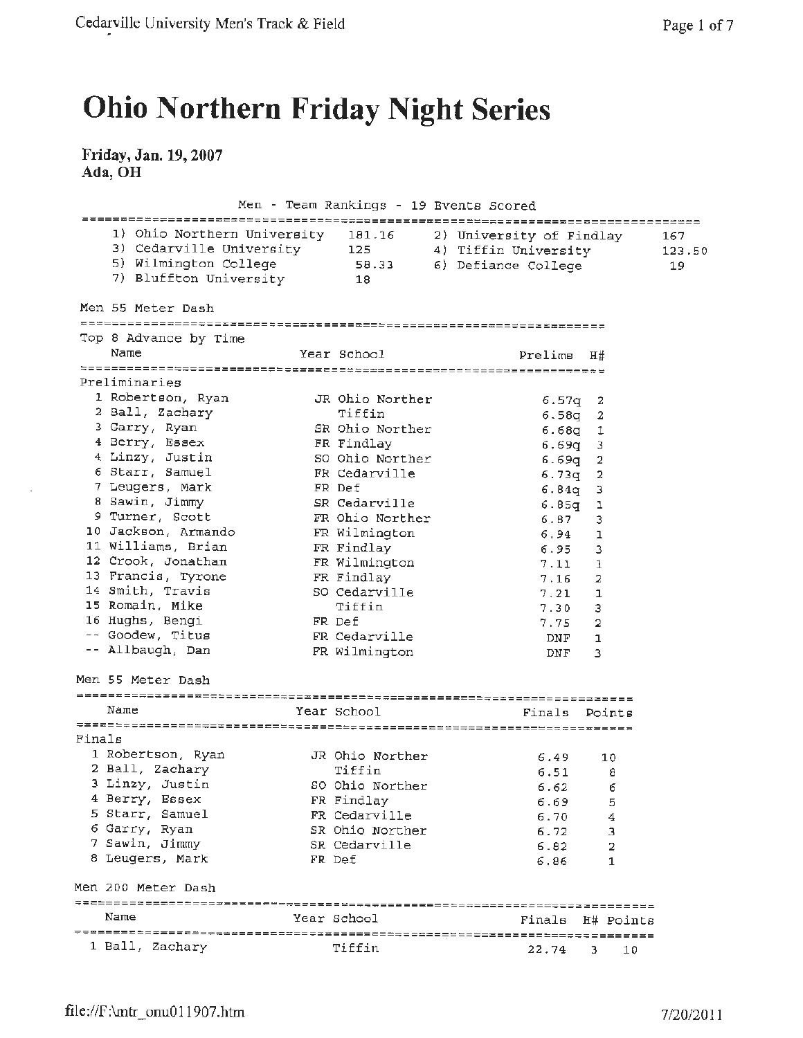## **Ohio Northern Friday Night Series**

## **Friday,Jan. 19,2007 Ada, OH**

 $\mathcal{A}$ 

|        |                                                                                                                      | Men - Team Rankings - 19 Events Scored |                                                                         |                | ====================== |
|--------|----------------------------------------------------------------------------------------------------------------------|----------------------------------------|-------------------------------------------------------------------------|----------------|------------------------|
|        | 1) Ohio Northern University<br>3) Cedarville University 125<br>5) Wilmington College 58.33<br>7) Bluffton University | 181.16<br><sup>18</sup>                | 2) University of Findlay<br>4) Tiffin University<br>6) Defiance College |                | 167<br>123.50<br>19    |
|        | Men 55 Meter Dash                                                                                                    |                                        |                                                                         |                |                        |
|        |                                                                                                                      |                                        |                                                                         |                |                        |
|        | Top 8 Advance by Time<br>Name                                                                                        | Year School                            | Prelims                                                                 | H#             |                        |
|        |                                                                                                                      |                                        |                                                                         |                |                        |
|        | Preliminaries                                                                                                        |                                        |                                                                         |                |                        |
|        | 1 Robertson, Ryan                                                                                                    | JR Ohio Norther                        | 6.57q                                                                   | -2             |                        |
|        | 2 Ball, Zachary                                                                                                      | Tiffin                                 | 6.58q                                                                   | 2              |                        |
|        | 3 Garry, Ryan                                                                                                        | SR Ohio Norther                        | $6.68q$ 1                                                               |                |                        |
|        | 4 Berry, Essex                                                                                                       | FR Findlay                             | 6.69q                                                                   | -3             |                        |
|        | 4 Linzy, Justin                                                                                                      | SO Ohio Norther                        | 6.69q                                                                   | 2              |                        |
|        | 6 Starr, Samuel                                                                                                      | FR Cedarville                          | 6.73q                                                                   | 2              |                        |
|        | 7 Leugers, Mark                                                                                                      | FR Def                                 | 6.84 <sub>q</sub>                                                       | з              |                        |
|        | 8 Sawin, Jimmy                                                                                                       | SR Cedarville                          | 6.85q                                                                   | ı              |                        |
|        | 9 Turner, Scott                                                                                                      | FR Ohio Norther                        | 6.87                                                                    | 3              |                        |
|        | 10 Jackson, Armando                                                                                                  | FR Wilmington                          | 6.94                                                                    | $\mathbf{1}$   |                        |
|        | 11 Williams, Brian                                                                                                   | FR Findlay                             | 6.95                                                                    | 3              |                        |
|        | 12 Crook, Jonathan                                                                                                   | FR Wilmington                          | 7.11                                                                    | ı              |                        |
|        | 13 Francis, Tyrone                                                                                                   | FR Findlay                             | 7.16                                                                    | 2              |                        |
|        | 14 Smith, Travis                                                                                                     | SO Cedarville                          | 7.21                                                                    | ı              |                        |
|        | 15 Romain, Mike                                                                                                      | Tiffin                                 | 7.30                                                                    | 3              |                        |
|        | 16 Hughs, Bengi                                                                                                      | FR Def                                 | 7.75                                                                    | $\overline{2}$ |                        |
|        | -- Goodew, Titus                                                                                                     | FR Cedarville                          | DNF                                                                     | 1              |                        |
|        | -- Allbaugh, Dan                                                                                                     | FR Wilmington                          | DNF                                                                     | 3              |                        |
|        | Men 55 Meter Dash                                                                                                    |                                        |                                                                         |                |                        |
|        | Name                                                                                                                 | Year School                            | Finals                                                                  | Points         |                        |
|        |                                                                                                                      |                                        |                                                                         |                |                        |
| Finals |                                                                                                                      |                                        |                                                                         |                |                        |
|        | 1 Robertson, Ryan                                                                                                    | JR Ohio Norther                        | 6.49                                                                    | 10             |                        |
|        | 2 Ball, Zachary                                                                                                      | Tiffin                                 | 6.51                                                                    | 8              |                        |
|        | 3 Linzy, Justin                                                                                                      | SO Ohio Norther                        | 6.62                                                                    | - 6            |                        |
|        | 4 Berry, Essex                                                                                                       | FR Findlay                             | 6.69                                                                    | 5              |                        |
|        | 5 Starr, Samuel                                                                                                      | FR Cedarville                          | 6.70                                                                    | 4              |                        |
|        | 6 Garry, Ryan                                                                                                        | SR Ohio Norther                        | 6.72                                                                    | 3              |                        |
|        | 7 Sawin, Jimmy                                                                                                       | SR Cedarville                          | 6.82                                                                    | 2              |                        |
|        | 8 Leugers, Mark                                                                                                      | FR Def                                 | 6.86                                                                    | 1              |                        |
|        | Men 200 Meter Dash                                                                                                   |                                        |                                                                         |                |                        |
|        | Name                                                                                                                 | Year School                            | Finals H# Points                                                        |                |                        |
|        | 1 Ball, Zachary                                                                                                      | Tiffin                                 | 22.74                                                                   | з.             | 10                     |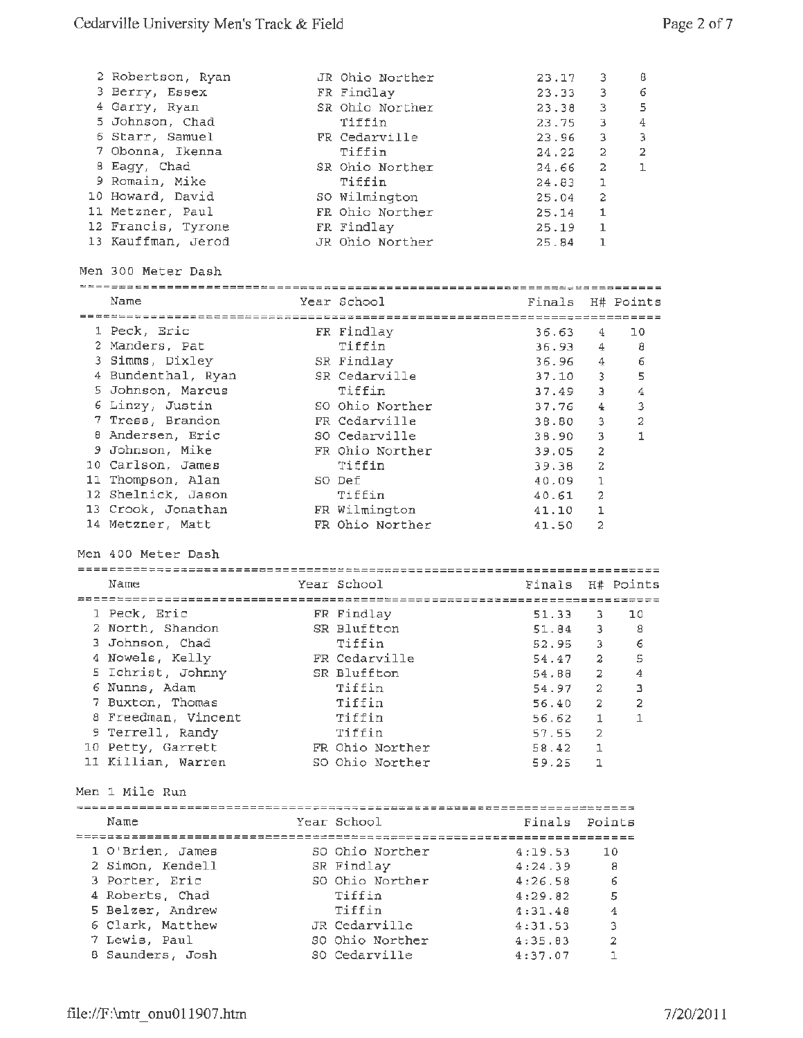| 2 Robertson, Ryan<br>3 Berry, Essex<br>4 Garry, Ryan<br>5 Johnson, Chad<br>6 Starr, Samuel<br>7 Obonna, Ikenna<br>8 Eagy, Chad<br>9 Romain, Mike<br>10 Howard, David<br>11 Metzner, Paul<br>12 Francis, Tyrone<br>13 Kauffman, Jerod | JR Ohio Norther<br>FR Findlay<br>SR Ohio Norther<br>Tiffin<br>FR Cedarville<br>Tiffin<br>SR Ohio Norther<br>Tiffin<br>SO Wilmington<br>FR Ohio Norther<br>FR Findlay<br>JR Ohio Norther | 23.17<br>23.33<br>23.38<br>23.75<br>23.96<br>24.22<br>24.66<br>24.83<br>25.04<br>25.14<br>25.19<br>25.84 | 3<br>3<br>3<br>3<br>3<br>2<br>2<br>1<br>$\overline{c}$<br>1<br>$\mathbf{1}$<br>$\mathbf{1}$ | θ<br>6<br>5<br>4<br>з<br>$\overline{2}$<br>ı |
|--------------------------------------------------------------------------------------------------------------------------------------------------------------------------------------------------------------------------------------|-----------------------------------------------------------------------------------------------------------------------------------------------------------------------------------------|----------------------------------------------------------------------------------------------------------|---------------------------------------------------------------------------------------------|----------------------------------------------|
| Men 300 Meter Dash                                                                                                                                                                                                                   |                                                                                                                                                                                         |                                                                                                          |                                                                                             |                                              |
| Name                                                                                                                                                                                                                                 | Year School                                                                                                                                                                             |                                                                                                          | Finals H# Points                                                                            |                                              |
|                                                                                                                                                                                                                                      |                                                                                                                                                                                         |                                                                                                          |                                                                                             |                                              |
| 1 Peck, Eric                                                                                                                                                                                                                         | FR Findlay                                                                                                                                                                              | 36.63                                                                                                    | 4                                                                                           | 10                                           |
| 2 Manders, Pat                                                                                                                                                                                                                       | Tiffin                                                                                                                                                                                  | 36.93                                                                                                    | $4 -$                                                                                       | 8                                            |
| 3 Simms, Dixley                                                                                                                                                                                                                      | SR Findlay                                                                                                                                                                              | 36.96                                                                                                    | 4                                                                                           | 6                                            |
| 4 Bundenthal, Ryan                                                                                                                                                                                                                   | SR Cedarville                                                                                                                                                                           | 37.10                                                                                                    | 3                                                                                           | 5                                            |
| 5 Johnson, Marcus                                                                                                                                                                                                                    | Tiffin                                                                                                                                                                                  | 37.49                                                                                                    | Э                                                                                           | 4                                            |
| 6 Linzy, Justin                                                                                                                                                                                                                      | SO Ohio Norther                                                                                                                                                                         | 37.76                                                                                                    | 4                                                                                           | 3                                            |
| 7 Tress, Brandon                                                                                                                                                                                                                     | FR Cedarville                                                                                                                                                                           | 38.80                                                                                                    | 3                                                                                           | 2                                            |
| 8 Andersen, Eric                                                                                                                                                                                                                     | SO Cedarville                                                                                                                                                                           | 38.90                                                                                                    | 3                                                                                           | 1                                            |
| 9 Johnson, Mike                                                                                                                                                                                                                      | FR Ohio Norther                                                                                                                                                                         | 39.05                                                                                                    | $\overline{a}$                                                                              |                                              |
| 10 Carlson, James                                                                                                                                                                                                                    | Tiffin                                                                                                                                                                                  | 39.38                                                                                                    | 2                                                                                           |                                              |
| 11 Thompson, Alan                                                                                                                                                                                                                    | SO Def                                                                                                                                                                                  | 40.09                                                                                                    | 1                                                                                           |                                              |
| 12 Shelnick, Jason                                                                                                                                                                                                                   | Tiffin                                                                                                                                                                                  | 40.61                                                                                                    | 2                                                                                           |                                              |
| 13 Crook, Jonathan                                                                                                                                                                                                                   | FR Wilmington                                                                                                                                                                           | 41.10                                                                                                    | ı                                                                                           |                                              |
| 14 Metzner, Matt                                                                                                                                                                                                                     | FR Ohio Norther                                                                                                                                                                         | 41.50                                                                                                    | $\overline{2}$                                                                              |                                              |
| Men 400 Meter Dash                                                                                                                                                                                                                   |                                                                                                                                                                                         |                                                                                                          |                                                                                             |                                              |
| Name                                                                                                                                                                                                                                 | Year School                                                                                                                                                                             | Finals                                                                                                   | H# Points                                                                                   |                                              |
|                                                                                                                                                                                                                                      |                                                                                                                                                                                         |                                                                                                          |                                                                                             |                                              |
| 1 Peck, Eric                                                                                                                                                                                                                         | FR Findlay                                                                                                                                                                              | 51.33                                                                                                    | з.                                                                                          | 10                                           |
| 2 North, Shandon                                                                                                                                                                                                                     | SR Bluffton                                                                                                                                                                             | 51.84                                                                                                    | $3 -$                                                                                       | 8                                            |
| 3 Johnson, Chad                                                                                                                                                                                                                      | Tiffin                                                                                                                                                                                  | 52.95                                                                                                    | 3                                                                                           | 6                                            |
| 4 Nowels, Kelly                                                                                                                                                                                                                      | FR Cedarville                                                                                                                                                                           | 54.47                                                                                                    | 2                                                                                           | 5                                            |
| 5 Ichrist, Johnny                                                                                                                                                                                                                    | SR Bluffton                                                                                                                                                                             | 54.68                                                                                                    | $\overline{2}$                                                                              | 4                                            |
| 6 Nunns, Adam                                                                                                                                                                                                                        | Tiffin                                                                                                                                                                                  | 54.97                                                                                                    | $2 -$                                                                                       | з                                            |
| 7 Buxton, Thomas                                                                                                                                                                                                                     | Tiffin                                                                                                                                                                                  | 56.40                                                                                                    | $2 -$                                                                                       | 2                                            |
| 8 Freedman, Vincent                                                                                                                                                                                                                  | Tiffin                                                                                                                                                                                  | 56.62                                                                                                    | 1.                                                                                          | 1                                            |
| 9 Terrell, Randy                                                                                                                                                                                                                     | Tiffin                                                                                                                                                                                  | 57.55                                                                                                    | $\mathbf{2}$                                                                                |                                              |
| 10 Petty, Garrett                                                                                                                                                                                                                    | FR Ohio Norther                                                                                                                                                                         | 58.42                                                                                                    | 1                                                                                           |                                              |
| 11 Killian, Warren                                                                                                                                                                                                                   | SO Ohio Norther                                                                                                                                                                         | 59.25                                                                                                    | ı                                                                                           |                                              |
| Men 1 Mile Run                                                                                                                                                                                                                       |                                                                                                                                                                                         |                                                                                                          |                                                                                             |                                              |
| Name                                                                                                                                                                                                                                 | Year School                                                                                                                                                                             | Finals                                                                                                   | Points                                                                                      |                                              |
|                                                                                                                                                                                                                                      |                                                                                                                                                                                         |                                                                                                          |                                                                                             |                                              |
| 1 O'Brien, James                                                                                                                                                                                                                     | SO Ohio Norther                                                                                                                                                                         | 4:19.53                                                                                                  | 10                                                                                          |                                              |
| 2 Simon, Kendell                                                                                                                                                                                                                     | SR Findlay                                                                                                                                                                              | 4:24.39                                                                                                  | 8                                                                                           |                                              |
| 3 Porter, Eric                                                                                                                                                                                                                       | SO Ohio Norther                                                                                                                                                                         | 4:26.58                                                                                                  | 6                                                                                           |                                              |
| 4 Roberts, Chad                                                                                                                                                                                                                      | Tiffin                                                                                                                                                                                  | 4:29.82                                                                                                  | 5                                                                                           |                                              |
| 5 Belzer, Andrew                                                                                                                                                                                                                     | Tiffin                                                                                                                                                                                  | 4:31.48                                                                                                  | $\bf{4}$                                                                                    |                                              |
| 6 Clark, Matthew                                                                                                                                                                                                                     | JR Cedarville                                                                                                                                                                           | 4:31.53                                                                                                  | 3                                                                                           |                                              |
| 7 Lewis, Paul                                                                                                                                                                                                                        | SO Ohio Norther                                                                                                                                                                         | 4:35.83                                                                                                  | $\overline{\mathbf{2}}$                                                                     |                                              |
| 8 Saunders, Josh                                                                                                                                                                                                                     | SO Cedarville                                                                                                                                                                           | 4:37.07                                                                                                  | 1                                                                                           |                                              |
|                                                                                                                                                                                                                                      |                                                                                                                                                                                         |                                                                                                          |                                                                                             |                                              |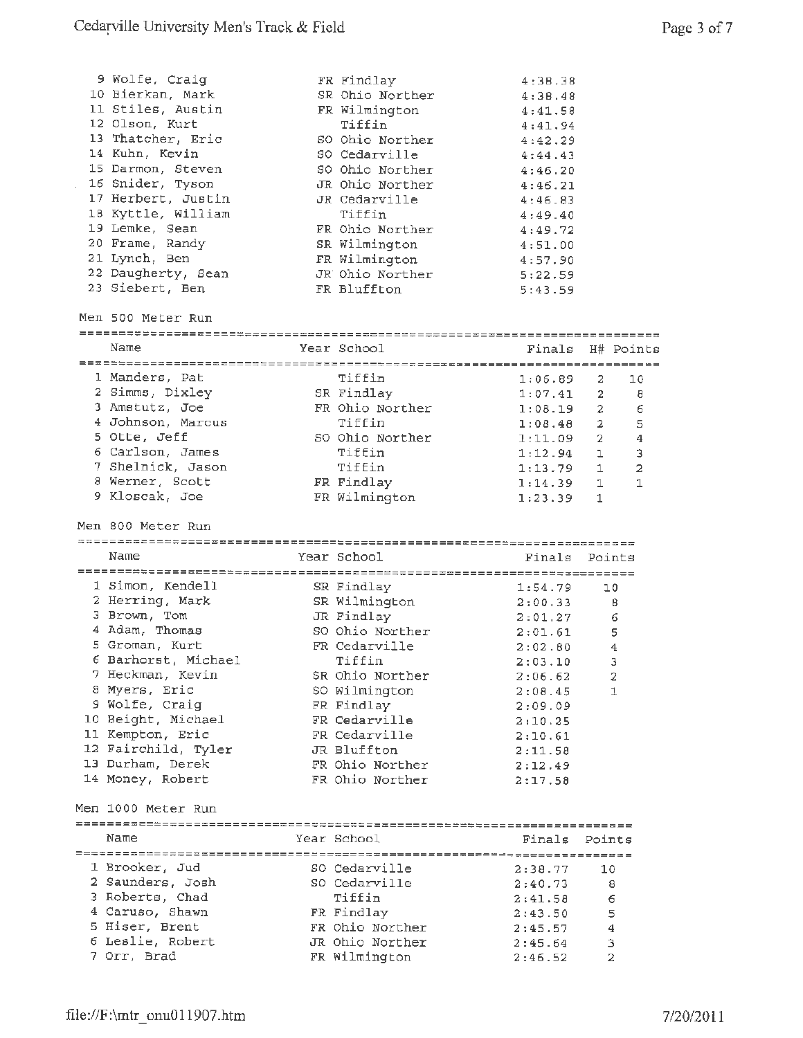| 9 Wolfe, Craig                  | FR Findlay                       | 4:3B.38       |                          |
|---------------------------------|----------------------------------|---------------|--------------------------|
| 10 Bierkan, Mark                | SR Ohio Norther                  | 4:38.48       |                          |
| 11 Stiles, Austin               | FR Wilmington                    | 4:41.58       |                          |
| 12 Olson, Kurt                  | Tiffin                           | 4:41.94       |                          |
| 13 Thatcher, Eric               | SO Ohio Norther                  | 4:42.29       |                          |
| 14 Kuhn, Kevin                  | SO Cedarville                    |               |                          |
| 15 Darmon, Steven               |                                  | 4:44.43       |                          |
|                                 | SO Ohio Norther                  | 4:46.20       |                          |
| 16 Snider, Tyson                | JR Ohio Norther                  | 4:46.21       |                          |
| 17 Herbert, Justin              | JR Cedarville                    | 4:46.83       |                          |
| 18 Kyttle, William              | Tiffin                           | 4:49.40       |                          |
| 19 Lemke, Sean                  | FR Ohio Norther                  | 4:49.72       |                          |
| 20 Frame, Randy                 | SR Wilmington                    | 4:51.00       |                          |
| 21 Lynch, Ben                   | FR Wilmington                    | 4:57.90       |                          |
| 22 Daugherty, Sean              | JR Ohio Norther                  | 5:22.59       |                          |
| 23 Siebert, Ben                 | FR Bluffton                      | 5:43.59       |                          |
|                                 |                                  |               |                          |
| Men 500 Meter Run               |                                  |               |                          |
|                                 |                                  |               |                          |
| Name                            | Year School                      | Finals        | H# Points                |
|                                 |                                  |               |                          |
| 1 Manders, Pat                  | Tiffin                           | 1:06.89       | 2<br>10                  |
| 2 Simms, Dixley                 | SR Findlay                       | $1:07.41$ 2   | 8                        |
| 3 Amstutz, Joe                  | FR Ohio Norther                  | 1:08.19       | $\overline{2}$<br>6      |
| 4 Johnson, Marcus               | Tiffin                           | 1:08.48       | 5<br>$\mathbf{2}$        |
| 5 Otte, Jeff                    | SO Ohio Norther                  |               |                          |
|                                 |                                  | 1:11.09       | -2<br>$\overline{4}$     |
| 6 Carlson, James                | Tiffin                           | 1:12.94       | 3<br>ı.                  |
| 7 Shelnick, Jason               | Tiffin                           | 1:13.79       | $\overline{2}$<br>1      |
| 8 Werner, Scott                 | FR Findlay                       | 1:14.39       | $\mathbf{1}$<br>1        |
| 9 Kloscak, Joe                  | FR Wilmington                    | 1:23.39       | $\mathbf{1}$             |
|                                 |                                  |               |                          |
|                                 |                                  |               |                          |
| Men 800 Meter Run               |                                  |               |                          |
|                                 |                                  |               |                          |
| Name                            | Year School                      | Finals Points |                          |
|                                 |                                  |               |                          |
| 1 Simon, Kendell                | SR Findlay                       | 1:54.79       | 10                       |
| 2 Herring, Mark                 | SR Wilmington 2:00.33            |               | -8                       |
| 3 Brown, Tom                    | JR Findlay                       | 2:01.27       | 6                        |
| 4 Adam, Thomas                  | SO Ohio Norther                  | 2:01.61       | 5                        |
| 5 Groman, Kurt                  | FR Cedarville                    | 2:02.80       | 4                        |
| 6 Barhorst, Michael             | Tiffin                           |               | $\overline{\phantom{a}}$ |
|                                 | SR Ohio Norther                  | 2:03.10       |                          |
| 7 Heckman, Kevin                |                                  | 2:06.62       | 2<br>1                   |
| 8 Myers, Eric                   | SO Wilmington                    | 2:08.45       |                          |
| 9 Wolfe, Craig                  | FR Findlay                       | 2:09.09       |                          |
| 10 Beight, Michael              | FR Cedarville                    | 2:10.25       |                          |
| 11 Kempton, Eric                | FR Cedarville                    | 2:10.61       |                          |
| 12 Fairchild, Tyler             | JR Bluffton                      | 2:11.58       |                          |
| 13 Durham, Derek                | FR Ohio Norther                  | 2:12.49       |                          |
| 14 Money, Robert                | FR Ohio Norther                  | 2:17.58       |                          |
|                                 |                                  |               |                          |
| Men 1000 Meter Run              |                                  |               |                          |
|                                 |                                  |               |                          |
| Name                            | Year School                      | Finals        | Points                   |
|                                 |                                  |               |                          |
| 1 Brooker, Jud                  | SO Cedarville                    | 2:38.77       | 10                       |
| 2 Saunders, Josh                | SO Cedarville                    | 2:40.73       | 8                        |
| 3 Roberts, Chad                 | Tiffin                           | 2:41.58       | 6                        |
| 4 Caruso, Shawn                 | FR Findlay                       | 2:43.50       | 5                        |
| 5 Hiser, Brent                  | FR Ohio Norther                  | 2:45.57       | 4                        |
| 6 Leslie, Robert<br>7 Orr, Brad | JR Ohio Norther<br>FR Wilmington | 2:45.64       | з<br>$\overline{a}$      |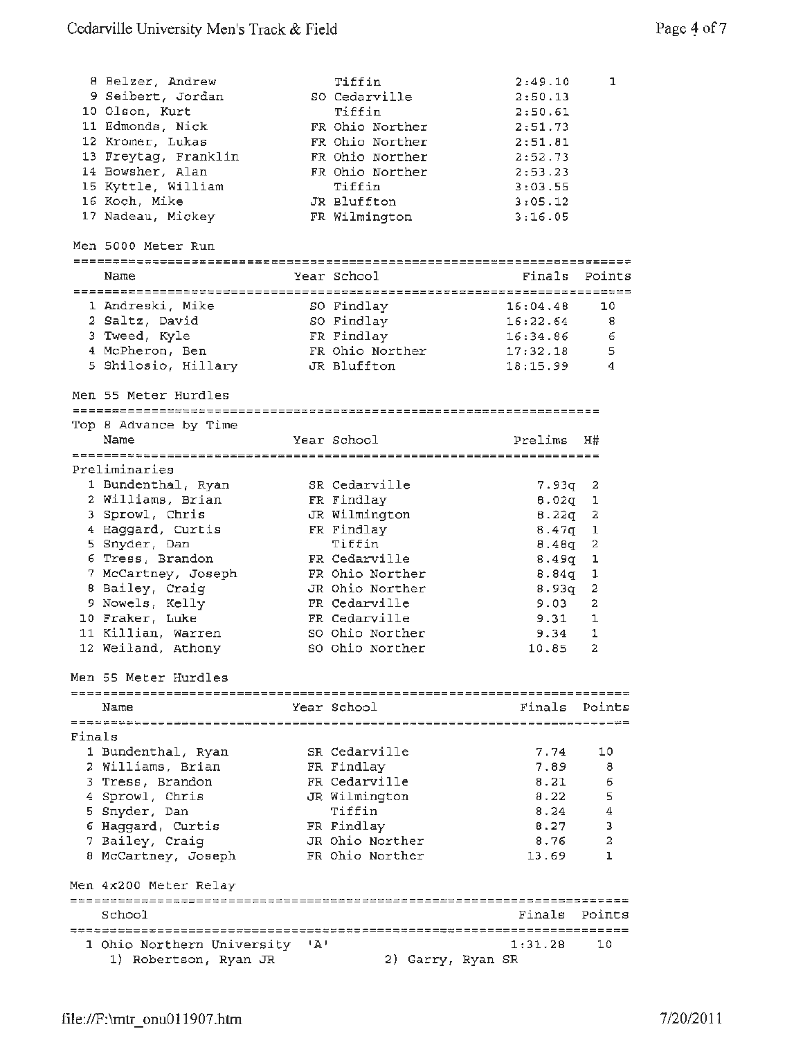|        | 8 Belzer, Andrew                       | Tiffin            | 2:49.10  | 1      |
|--------|----------------------------------------|-------------------|----------|--------|
|        | 9 Seibert, Jordan                      | SO Cedarville     | 2:50.13  |        |
|        | 10 Olson, Kurt                         | Tiffin            | 2:50.61  |        |
|        | 11 Edmonds, Nick                       | FR Ohio Norther   | 2:51.73  |        |
|        | 12 Kromer, Lukas                       | FR Ohio Norther   | 2:51.81  |        |
|        | 13 Freytag, Franklin                   | FR Ohio Norther   | 2:52.73  |        |
|        | 14 Bowsher, Alan                       | FR Ohio Norther   | 2:53.23  |        |
|        | 15 Kyttle, William                     | Tiffin            | 3:03.55  |        |
|        | 16 Koch, Mike                          | JR Bluffton       | 3:05.12  |        |
|        | 17 Nadeau, Mickey                      |                   | 3:16.05  |        |
|        |                                        | FR Wilmington     |          |        |
|        | Men 5000 Meter Run                     |                   |          |        |
|        |                                        |                   |          |        |
|        | Name                                   | Year School       | Finals   | Points |
|        | 1 Andreski, Mike                       | SO Findlay        | 16:04.48 | 10     |
|        | 2 Saltz, David                         | SO Findlay        | 16:22.64 | 8      |
|        | 3 Tweed, Kyle                          | FR Findlay        | 16:34.86 | 6      |
|        | 4 McPheron, Ben                        | FR Ohio Norther   | 17:32.18 | 5      |
|        | 5 Shilosio, Hillary                    | JR Bluffton       | 18:15.99 | 4      |
|        |                                        |                   |          |        |
|        | Men 55 Meter Hurdles                   |                   |          |        |
|        |                                        |                   |          |        |
|        | Top 8 Advance by Time                  |                   |          |        |
|        | Name                                   | Year School       | Prelims  | H#     |
|        | Preliminaries                          |                   |          |        |
|        |                                        | SR Cedarville     |          |        |
|        | 1 Bundenthal, Ryan                     |                   | 7.93q    | 2      |
|        | 2 Williams, Brian                      | FR Findlay        | 8.02q    | ı      |
|        | 3 Sprowl, Chris                        | JR Wilmington     | 8.22q    | 2      |
|        | 4 Haggard, Curtis                      | FR Findlay        | 8.47 $q$ | 1      |
|        | 5 Snyder, Dan                          | Tiffin            | 8.48q    | 2      |
|        | 6 Tress, Brandon                       | FR Cedarville     | 8.49q    | ı      |
|        | 7 McCartney, Joseph                    | FR Ohio Norther   | 8.84q    | 1      |
|        | 8 Bailey, Craig                        | JR Ohio Norther   | 8.93q    | 2      |
|        | 9 Nowels, Kelly                        | FR Cedarville     | 9.03     | 2      |
|        | 10 Fraker, Luke                        | FR Cedarville     | 9.31     | 1      |
|        | 11 Killian, Warren                     | SO Ohio Norther   | 9.34     | 1      |
|        | 12 Weiland, Athony                     | SO Ohio Norther   | 10.85    | 2      |
|        | Men 55 Meter Hurdles                   |                   |          |        |
|        |                                        |                   |          |        |
|        | Name                                   | Year School       | Finals   | Points |
| Finals |                                        |                   |          |        |
|        | 1 Bundenthal, Ryan                     | SR Cedarville     | 7.74     | 10     |
|        | 2 Williams, Brian                      | FR Findlay        | 7.89     | 8      |
|        | 3 Tress, Brandon                       | FR Cedarville     | 8.21     | 6      |
|        | 4 Sprowl, Chris                        | JR Wilmington     | 8.22     | 5      |
|        | 5 Snyder, Dan                          | Tiffin            | 8.24     | 4      |
|        | 6 Haggard, Curtis                      | FR Findlay        | 8.27     | з      |
|        |                                        | JR Ohio Norther   | 8.76     | 2      |
|        | 7 Bailey, Craig<br>8 McCartney, Joseph | FR Ohio Norther   | 13.69    | ı      |
|        |                                        |                   |          |        |
|        | Men 4x200 Meter Relay                  |                   |          |        |
|        | School                                 |                   | Finals   | Points |
|        |                                        |                   |          |        |
|        | 1 Ohio Northern University 'A'         |                   | 1:31.28  | 10     |
|        | 1) Robertson, Ryan JR                  | 2) Garry, Ryan SR |          |        |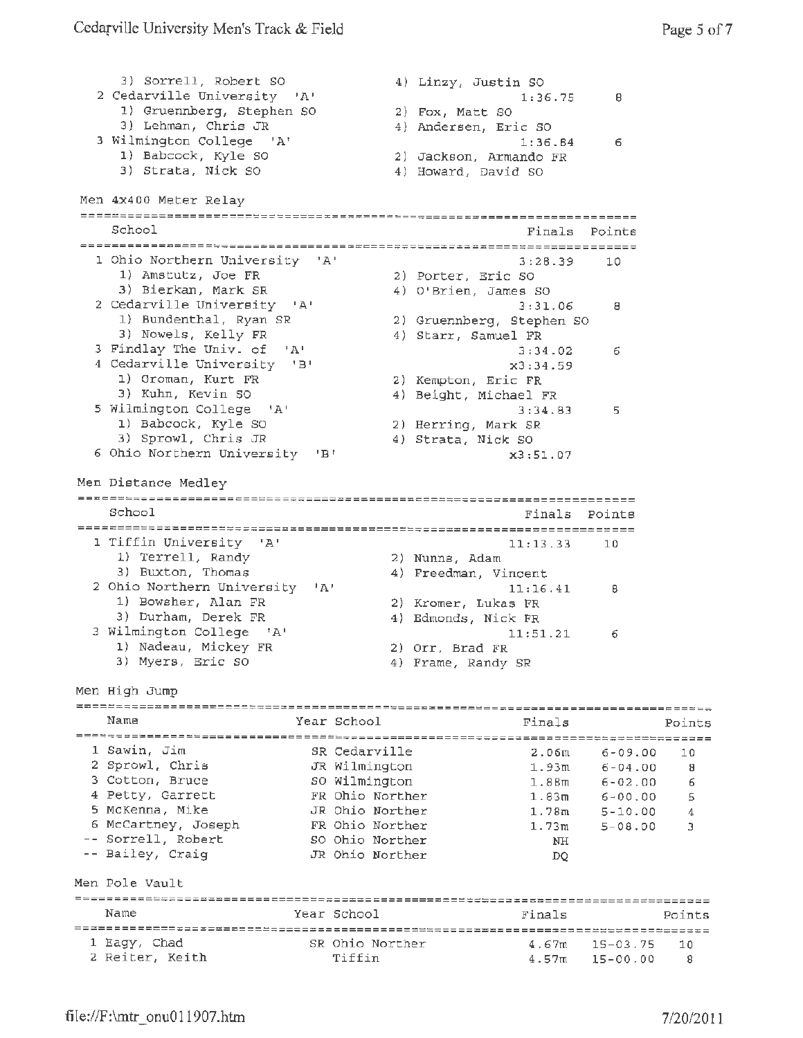4) Linzy, Justin SO 3) Sorrell, Robert so 2 Cedarville University 'A' 1:36.75 <sup>8</sup> 1) Gruennberg, Stephen SO 2) Fox, Matt 80 3) Lehman, Chris JR 4) Andersen, Eric so 3 Wilmington College 'A' 1:36.B4 6 1) Babcock, Kyle SO 2) Jackson, Armando FR 4) Howard, David SO 3) Strata, Nick SO Men 4x400 Meter Relay -----------===========---------=========~==-----=~==============------- School Finals Points 1 Ohio Northern University 'A' 3:28.39 10<br>1) Amstutz, Joe FR 3:28.39 2) Porter, Eric SO 1) Amstutz, Joe FR 2) Porter, Eric SO 3) Bierkan, Mark SR 4) O'Brien, James SO 3) Bierkan, Mark SR (2) Cedarville University 'A' (2) 3:31.06 8<br>2) Sundenthal, Ryan SR (3) 3:31.06 8<br>3) Sundenthal, Ryan SR (3) 32) Sruennberg, Stephen SO 1) Bundenthal, Ryan SR 2) Gruennberg, Stephen SO 3) Nowels, Kelly FR 4) Starr, Samuel FR 3 Findlay The Univ. of 'A' 3:34.02 6 4 Cedarville Univ. of 'A' 3:34.02 6<br>4 Cedarville University 'B' x3:34.59 Cedarviile J...<br>1) Groman, Kurt FR<br>3) Kuhn, Kevin SO 2) Kempton, Eric FR<br>4) Beight, Michael FR 5 Wilmington College 'A' 3:34.83 5<br>1) Babcock, Kyle SO 3:34.83 5 1) Babcock, Kyle SO 2) Herring, Mark SR 3) Sprowl, Chris JR 4) Strata, Nick SO <sup>6</sup>Ohio Northern University 'B' x3: 51. 07 Men Distance Medley School Finals Points 1 Tiffin University 'A' 11:13.<br>
1) Terrell, Randy 2) Nunns, Adam<br>
3) Buxton, Thomas 4) Freedman, Vincent  $11:13.33$  10 1) Terrell, Randy<br>3) Buxton, Thomas 3) Buxton, Thomas (4) Freedman, Vincent 2 Ohio Northern University 'A' 11:16.41 11:16.41 8 1) Bowsher, Alan FR<br>3) Durham, Derek FR 1) Bowsher, Alan FR 2) Kromer, Lukas FR 4) Edmonds, Nick FR <sup>3</sup>Wilmington College 'A' 11:51.21 6 1) Nadeau, Mickey FR 2) Orr, Brad FR 3) Myers, Eric SO 4) Frame, Randy SR Men High Jump Name Year School Finals Points 1 Sawin, Jim SR Cedarville 6-09.00 2.06m 10 2 Sprowl, Chris JR Wilmington 6-04.00 1.93m 8 <sup>3</sup>Cotton, Bruce so Wilmington 1. 88m 6-02.00 6 4 Petty, Garrett FR Ohio Norther 6-00.00 1.83m 5 5 McKenna, **Mike**  JR Ohio Norther 5-10.00 1.78m 4 <sup>5</sup>McCartney, Joseph FR Ohio Norther 1. 73m 5-08.00 3 Sorrell, Robert so Ohio Norther NH Bailey, Craig JR Ohio Norther DQ Men Pole Vault Year School Finals Points Name 1 Eagy, Chad SR Ohio Norther 4.67m 15-03.75 10 4.57m 15-00.00 8 2 Reiter, Keith Tiffin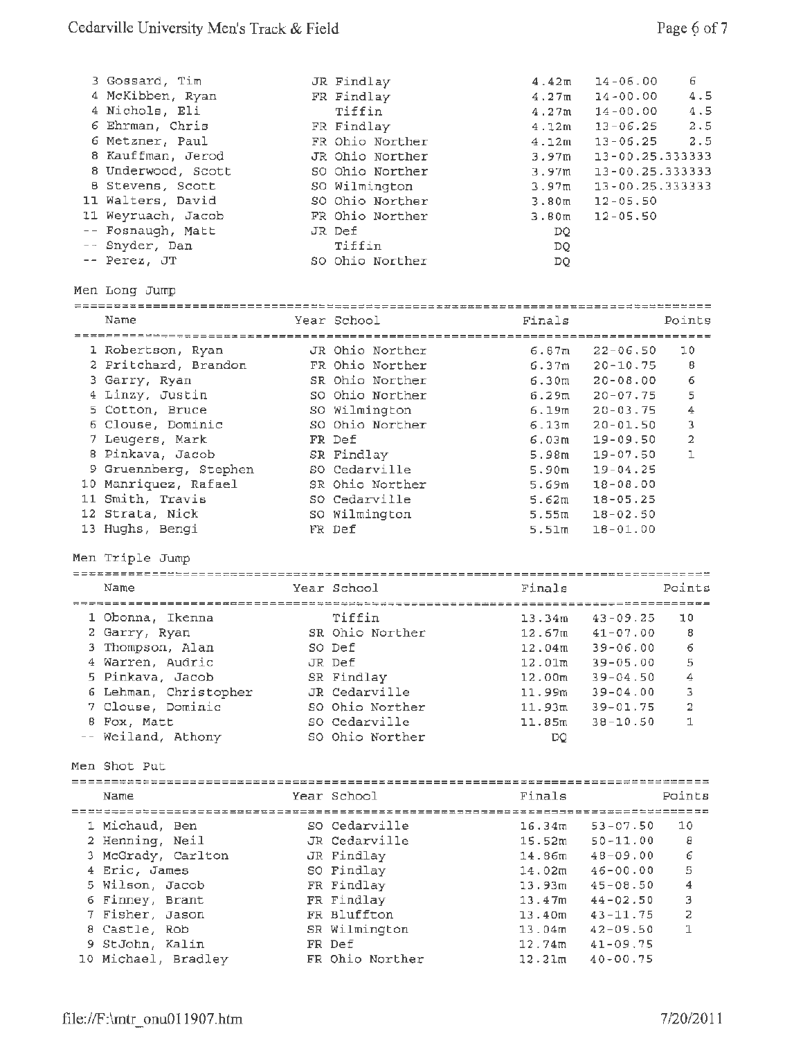| 3 Gossard, Tim<br>4 McKibben, Ryan<br>4 Nichols, Eli<br>6 Ehrman, Chris<br>6 Metzner, Paul<br>8 Kauffman, Jerod<br>8 Underwood, Scott<br>8 Stevens, Scott<br>11 Walters, David<br>11 Weyruach, Jacob<br>-- Fosnaugh, Matt<br>-- Snyder, Dan<br>-- Perez, JT | JR Findlay<br>FR Findlay<br>Tiffin<br>FR Findlay<br>FR Ohio Norther<br>JR Ohio Norther<br>SO Ohio Norther<br>SO Wilmington<br>SO Ohio Norther<br>FR Ohio Norther<br>JR Def<br>Tiffin<br>SO Ohio Norther | 4.42m<br>4.27m<br>4.27m<br>4.12m<br>4.12m<br>3.97m<br>3.97m<br>3.97 <sub>m</sub><br>3.80 <sub>m</sub><br>3.80 <sub>m</sub><br>DQ<br>DQ<br>DO. | $14 - 06.00$<br>$14 - 00.00$<br>$14 - 00.00$<br>$13 - 06.25$<br>$13 - 06.25$<br>13-00.25.333333<br>13-00.25.333333<br>13-00.25.333333<br>$12 - 05.50$<br>$12 - 05.50$ | 6<br>4.5<br>4.5<br>2.5<br>2.5 |
|-------------------------------------------------------------------------------------------------------------------------------------------------------------------------------------------------------------------------------------------------------------|---------------------------------------------------------------------------------------------------------------------------------------------------------------------------------------------------------|-----------------------------------------------------------------------------------------------------------------------------------------------|-----------------------------------------------------------------------------------------------------------------------------------------------------------------------|-------------------------------|
| Men Long Jump<br>======================                                                                                                                                                                                                                     |                                                                                                                                                                                                         |                                                                                                                                               |                                                                                                                                                                       |                               |
| Name                                                                                                                                                                                                                                                        | Year School                                                                                                                                                                                             | Finals                                                                                                                                        |                                                                                                                                                                       | Points                        |
|                                                                                                                                                                                                                                                             |                                                                                                                                                                                                         |                                                                                                                                               |                                                                                                                                                                       |                               |
| 1 Robertson, Ryan                                                                                                                                                                                                                                           | JR Ohio Norther                                                                                                                                                                                         | 6.87m                                                                                                                                         | $22 - 06.50$                                                                                                                                                          | 10                            |
| 2 Pritchard, Brandon                                                                                                                                                                                                                                        | FR Ohio Norther                                                                                                                                                                                         | 6.37m                                                                                                                                         | $20 - 10.75$                                                                                                                                                          | Β                             |
| 3 Garry, Ryan                                                                                                                                                                                                                                               | SR Ohio Norther                                                                                                                                                                                         | 6.30m                                                                                                                                         | $20 - 08.00$                                                                                                                                                          | 6                             |
| 4 Linzy, Justin                                                                                                                                                                                                                                             | SO Ohio Norther                                                                                                                                                                                         | 6.29m                                                                                                                                         | $20 - 07.75$                                                                                                                                                          | 5                             |
| 5 Cotton, Bruce                                                                                                                                                                                                                                             | SO Wilmington                                                                                                                                                                                           | 6.19m                                                                                                                                         | $20 - 03.75$                                                                                                                                                          | 4                             |
| 6 Clouse, Dominic                                                                                                                                                                                                                                           | SO Ohio Norther                                                                                                                                                                                         | 6.13m                                                                                                                                         | $20 - 01.50$                                                                                                                                                          | 3                             |
| 7 Leugers, Mark                                                                                                                                                                                                                                             | FR Def                                                                                                                                                                                                  | 6.03m                                                                                                                                         | $19 - 09.50$                                                                                                                                                          | $\overline{a}$                |
| 8 Pinkava, Jacob                                                                                                                                                                                                                                            | SR Findlay                                                                                                                                                                                              | 5.98m                                                                                                                                         | $19 - 07.50$                                                                                                                                                          | ı                             |
| 9 Gruennberg, Stephen                                                                                                                                                                                                                                       | SO Cedarville                                                                                                                                                                                           | 5.90 <sub>m</sub>                                                                                                                             | 19-04.25                                                                                                                                                              |                               |
| 10 Manriquez, Rafael                                                                                                                                                                                                                                        | SR Ohio Norther                                                                                                                                                                                         | 5.69m                                                                                                                                         | $18 - 08.00$                                                                                                                                                          |                               |
| 11 Smith, Travis                                                                                                                                                                                                                                            | SO Cedarville                                                                                                                                                                                           | 5.62m                                                                                                                                         | $18 - 05.25$                                                                                                                                                          |                               |
| 12 Strata, Nick                                                                                                                                                                                                                                             | SO Wilmington                                                                                                                                                                                           | 5.55m                                                                                                                                         | $18 - 02.50$                                                                                                                                                          |                               |
| 13 Hughs, Bengi                                                                                                                                                                                                                                             | FR Def                                                                                                                                                                                                  | 5.51 <sub>m</sub>                                                                                                                             | $18 - 01.00$                                                                                                                                                          |                               |
| Men Triple Jump                                                                                                                                                                                                                                             |                                                                                                                                                                                                         |                                                                                                                                               |                                                                                                                                                                       |                               |
|                                                                                                                                                                                                                                                             |                                                                                                                                                                                                         |                                                                                                                                               |                                                                                                                                                                       | Points                        |
| Name                                                                                                                                                                                                                                                        | Year School                                                                                                                                                                                             | Finals                                                                                                                                        |                                                                                                                                                                       |                               |
|                                                                                                                                                                                                                                                             |                                                                                                                                                                                                         |                                                                                                                                               |                                                                                                                                                                       |                               |
| 1 Obonna, Ikenna                                                                                                                                                                                                                                            | Tiffin                                                                                                                                                                                                  | 13.34m                                                                                                                                        | $43 - 09.25$                                                                                                                                                          | 10                            |
| 2 Garry, Ryan                                                                                                                                                                                                                                               | SR Ohio Norther                                                                                                                                                                                         | 12.67m                                                                                                                                        | $41 - 07.00$                                                                                                                                                          | 8                             |
| 3 Thompson, Alan                                                                                                                                                                                                                                            | SO Def                                                                                                                                                                                                  | 12.04 <sub>m</sub>                                                                                                                            | $39 - 06.00$                                                                                                                                                          | 6                             |
| 4 Warren, Audric                                                                                                                                                                                                                                            | JR Def                                                                                                                                                                                                  | 12.01m                                                                                                                                        | $39 - 05.00$                                                                                                                                                          | 5                             |
| 5 Pinkava, Jacob                                                                                                                                                                                                                                            | SR Findlay                                                                                                                                                                                              | 12.00m                                                                                                                                        | $39 - 04.50$                                                                                                                                                          | 4                             |
| 6 Lehman, Christopher                                                                                                                                                                                                                                       | JR Cedarville                                                                                                                                                                                           | 11.99m                                                                                                                                        | $39 - 04.00$                                                                                                                                                          | з                             |
| 7 Clouse, Dominic                                                                                                                                                                                                                                           | SO Ohio Norther                                                                                                                                                                                         | 11.93m                                                                                                                                        | 39-01.75                                                                                                                                                              | $\overline{2}$                |
| 8 Fox, Matt                                                                                                                                                                                                                                                 | SO Cedarville                                                                                                                                                                                           | 11.85m                                                                                                                                        | $38 - 10.50$                                                                                                                                                          | $\mathbf{I}$                  |
| -- Weiland, Athony                                                                                                                                                                                                                                          | SO Ohio Norther                                                                                                                                                                                         | DQ.                                                                                                                                           |                                                                                                                                                                       |                               |
| Men Shot Put                                                                                                                                                                                                                                                |                                                                                                                                                                                                         |                                                                                                                                               |                                                                                                                                                                       |                               |
| Name                                                                                                                                                                                                                                                        | Year School                                                                                                                                                                                             | Finals                                                                                                                                        |                                                                                                                                                                       | Points                        |
|                                                                                                                                                                                                                                                             |                                                                                                                                                                                                         |                                                                                                                                               |                                                                                                                                                                       |                               |
| 1 Michaud, Ben                                                                                                                                                                                                                                              | SO Cedarville                                                                                                                                                                                           | 16.34 <sub>m</sub>                                                                                                                            | $53 - 07.50$                                                                                                                                                          | 10                            |
| 2 Henning, Neil                                                                                                                                                                                                                                             | JR Cedarville                                                                                                                                                                                           | 15.52m                                                                                                                                        | $50 - 11.00$                                                                                                                                                          | 8                             |
| 3 McGrady, Carlton                                                                                                                                                                                                                                          | JR Findlay                                                                                                                                                                                              | 14.86m                                                                                                                                        | $48 - 09.00$                                                                                                                                                          | 6                             |
| 4 Eric, James                                                                                                                                                                                                                                               | SO Findlay                                                                                                                                                                                              | 14.02m                                                                                                                                        | $46 - 00.00$                                                                                                                                                          | 5                             |
| 5 Wilson, Jacob                                                                                                                                                                                                                                             | FR Findlay                                                                                                                                                                                              | 13.93m                                                                                                                                        | $45 - 08.50$                                                                                                                                                          | 4                             |
| 6 Finney, Brant                                                                                                                                                                                                                                             | FR Findlay                                                                                                                                                                                              | 13.47m                                                                                                                                        | $44 - 02.50$                                                                                                                                                          | 3                             |
| 7 Fisher, Jason                                                                                                                                                                                                                                             | FR Bluffton                                                                                                                                                                                             | 13.40 <sub>m</sub>                                                                                                                            | $43 - 11.75$                                                                                                                                                          | 2                             |
| 8 Castle, Rob                                                                                                                                                                                                                                               | SR Wilmington                                                                                                                                                                                           | 13.04m                                                                                                                                        | $42 - 09.50$                                                                                                                                                          | 1                             |
| 9 StJohn, Kalin<br>10 Michael, Bradley                                                                                                                                                                                                                      | FR Def<br>FR Ohio Norther                                                                                                                                                                               | 12.74m<br>12.21m                                                                                                                              | $41 - 09.75$<br>$40 - 00.75$                                                                                                                                          |                               |